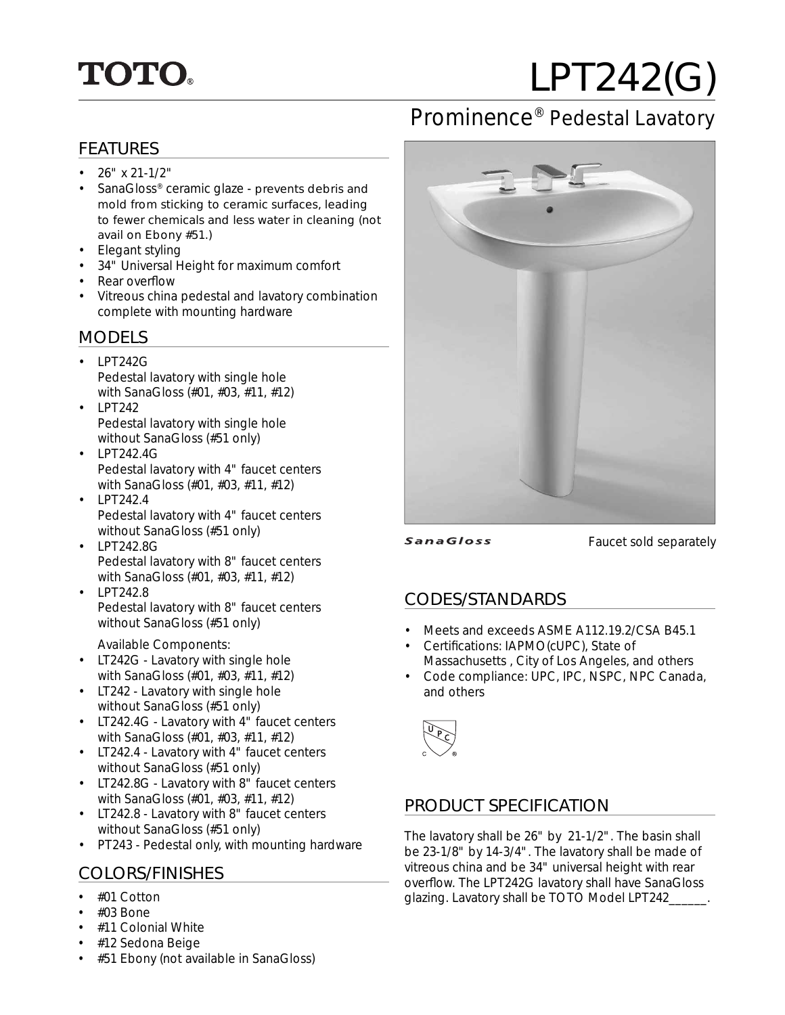

# LPT242(G)

## Prominence® Pedestal Lavatory

#### FEATURES

- $26" x 21-1/2"$
- SanaGloss® ceramic glaze prevents debris and mold from sticking to ceramic surfaces, leading to fewer chemicals and less water in cleaning (not avail on Ebony #51.)
- Elegant styling
- 34" Universal Height for maximum comfort
- Rear overflow
- Vitreous china pedestal and lavatory combination complete with mounting hardware

#### MODELS

- LPT242G Pedestal lavatory with single hole with SanaGloss (#01, #03, #11, #12)
- LPT242 Pedestal lavatory with single hole without SanaGloss (#51 only)
- $\cdot$  LPT242.4G Pedestal lavatory with 4" faucet centers with SanaGloss (#01, #03, #11, #12)
- LPT242.4 Pedestal lavatory with 4" faucet centers without SanaGloss (#51 only)
- LPT242.8G Pedestal lavatory with 8" faucet centers with SanaGloss (#01, #03, #11, #12)
- LPT242.8 Pedestal lavatory with 8" faucet centers without SanaGloss (#51 only)
	- Available Components:
- LT242G Lavatory with single hole with SanaGloss (#01, #03, #11, #12)
- LT242 Lavatory with single hole without SanaGloss (#51 only)
- LT242.4G Lavatory with 4" faucet centers with SanaGloss (#01, #03, #11, #12)
- LT242.4 Lavatory with 4" faucet centers without SanaGloss (#51 only)
- LT242.8G Lavatory with 8" faucet centers with SanaGloss (#01, #03, #11, #12)
- LT242.8 Lavatory with 8" faucet centers without SanaGloss (#51 only)
- PT243 Pedestal only, with mounting hardware

### COLORS/FINISHES

- #01 Cotton
- $\cdot$  #03 Bone
- #11 Colonial White
- #12 Sedona Beige
- #51 Ebony (not available in SanaGloss)



**SanaGloss** 

Faucet sold separately

#### CODES/STANDARDS

- Meets and exceeds ASME A112.19.2/CSA B45.1
- Certifications: IAPMO(cUPC), State of Massachusetts , City of Los Angeles, and others
- Code compliance: UPC, IPC, NSPC, NPC Canada, and others



#### PRODUCT SPECIFICATION

The lavatory shall be 26" by 21-1/2". The basin shall be 23-1/8" by 14-3/4". The lavatory shall be made of vitreous china and be 34" universal height with rear overflow. The LPT242G lavatory shall have SanaGloss glazing. Lavatory shall be TOTO Model LPT242\_